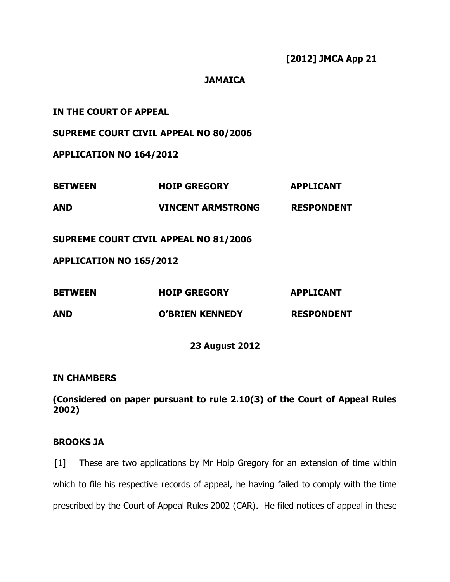## **JAMAICA**

| IN THE COURT OF APPEAL         |                                              |                   |
|--------------------------------|----------------------------------------------|-------------------|
|                                | <b>SUPREME COURT CIVIL APPEAL NO 80/2006</b> |                   |
| <b>APPLICATION NO 164/2012</b> |                                              |                   |
| <b>BETWEEN</b>                 | <b>HOIP GREGORY</b>                          | <b>APPLICANT</b>  |
| <b>AND</b>                     | VINCENT ARMSTRONG RESPONDENT                 |                   |
|                                | <b>SUPREME COURT CIVIL APPEAL NO 81/2006</b> |                   |
| <b>APPLICATION NO 165/2012</b> |                                              |                   |
| <b>BETWEEN</b>                 | <b>HOIP GREGORY</b>                          | <b>APPLICANT</b>  |
| <b>AND</b>                     | <b>O'BRIEN KENNEDY</b>                       | <b>RESPONDENT</b> |
|                                | <b>23 August 2012</b>                        |                   |

## **IN CHAMBERS**

**(Considered on paper pursuant to rule 2.10(3) of the Court of Appeal Rules 2002)**

# **BROOKS JA**

[1] These are two applications by Mr Hoip Gregory for an extension of time within which to file his respective records of appeal, he having failed to comply with the time prescribed by the Court of Appeal Rules 2002 (CAR). He filed notices of appeal in these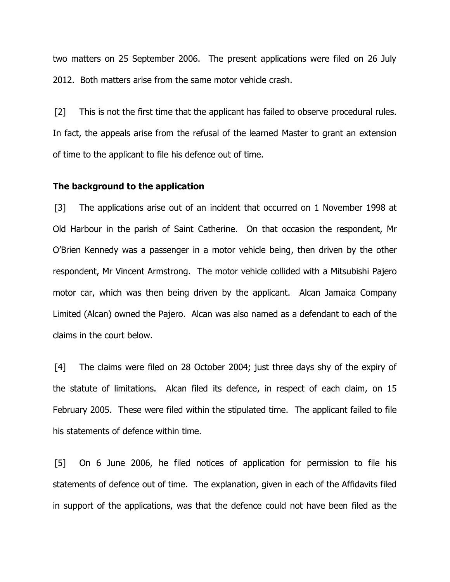two matters on 25 September 2006. The present applications were filed on 26 July 2012. Both matters arise from the same motor vehicle crash.

[2] This is not the first time that the applicant has failed to observe procedural rules. In fact, the appeals arise from the refusal of the learned Master to grant an extension of time to the applicant to file his defence out of time.

#### **The background to the application**

[3] The applications arise out of an incident that occurred on 1 November 1998 at Old Harbour in the parish of Saint Catherine. On that occasion the respondent, Mr O'Brien Kennedy was a passenger in a motor vehicle being, then driven by the other respondent, Mr Vincent Armstrong. The motor vehicle collided with a Mitsubishi Pajero motor car, which was then being driven by the applicant. Alcan Jamaica Company Limited (Alcan) owned the Pajero. Alcan was also named as a defendant to each of the claims in the court below.

[4] The claims were filed on 28 October 2004; just three days shy of the expiry of the statute of limitations. Alcan filed its defence, in respect of each claim, on 15 February 2005. These were filed within the stipulated time. The applicant failed to file his statements of defence within time.

[5] On 6 June 2006, he filed notices of application for permission to file his statements of defence out of time. The explanation, given in each of the Affidavits filed in support of the applications, was that the defence could not have been filed as the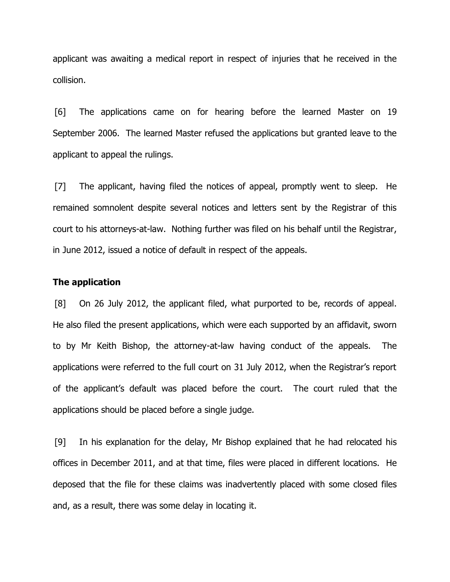applicant was awaiting a medical report in respect of injuries that he received in the collision.

[6] The applications came on for hearing before the learned Master on 19 September 2006. The learned Master refused the applications but granted leave to the applicant to appeal the rulings.

[7] The applicant, having filed the notices of appeal, promptly went to sleep. He remained somnolent despite several notices and letters sent by the Registrar of this court to his attorneys-at-law. Nothing further was filed on his behalf until the Registrar, in June 2012, issued a notice of default in respect of the appeals.

## **The application**

[8] On 26 July 2012, the applicant filed, what purported to be, records of appeal. He also filed the present applications, which were each supported by an affidavit, sworn to by Mr Keith Bishop, the attorney-at-law having conduct of the appeals. The applications were referred to the full court on 31 July 2012, when the Registrar's report of the applicant's default was placed before the court. The court ruled that the applications should be placed before a single judge.

[9] In his explanation for the delay, Mr Bishop explained that he had relocated his offices in December 2011, and at that time, files were placed in different locations. He deposed that the file for these claims was inadvertently placed with some closed files and, as a result, there was some delay in locating it.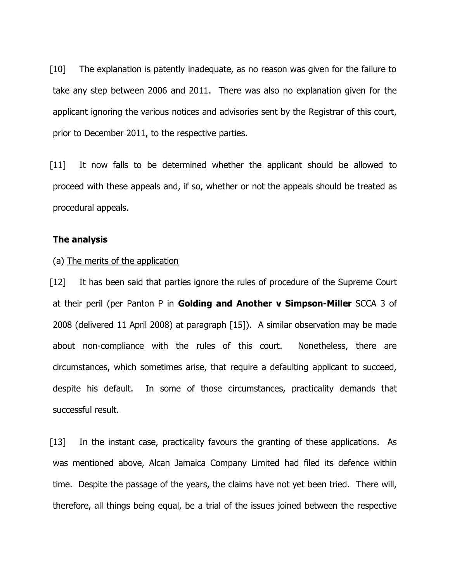[10] The explanation is patently inadequate, as no reason was given for the failure to take any step between 2006 and 2011. There was also no explanation given for the applicant ignoring the various notices and advisories sent by the Registrar of this court, prior to December 2011, to the respective parties.

[11] It now falls to be determined whether the applicant should be allowed to proceed with these appeals and, if so, whether or not the appeals should be treated as procedural appeals.

## **The analysis**

#### (a) The merits of the application

[12] It has been said that parties ignore the rules of procedure of the Supreme Court at their peril (per Panton P in **Golding and Another v Simpson-Miller** SCCA 3 of 2008 (delivered 11 April 2008) at paragraph [15]). A similar observation may be made about non-compliance with the rules of this court. Nonetheless, there are circumstances, which sometimes arise, that require a defaulting applicant to succeed, despite his default. In some of those circumstances, practicality demands that successful result.

[13] In the instant case, practicality favours the granting of these applications. As was mentioned above, Alcan Jamaica Company Limited had filed its defence within time. Despite the passage of the years, the claims have not yet been tried. There will, therefore, all things being equal, be a trial of the issues joined between the respective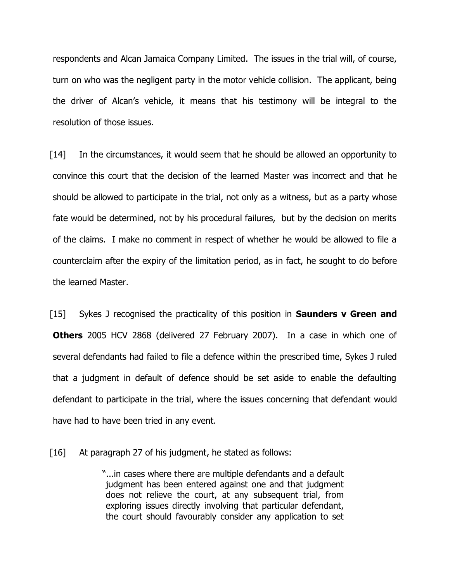respondents and Alcan Jamaica Company Limited. The issues in the trial will, of course, turn on who was the negligent party in the motor vehicle collision. The applicant, being the driver of Alcan's vehicle, it means that his testimony will be integral to the resolution of those issues.

[14] In the circumstances, it would seem that he should be allowed an opportunity to convince this court that the decision of the learned Master was incorrect and that he should be allowed to participate in the trial, not only as a witness, but as a party whose fate would be determined, not by his procedural failures, but by the decision on merits of the claims. I make no comment in respect of whether he would be allowed to file a counterclaim after the expiry of the limitation period, as in fact, he sought to do before the learned Master.

[15] Sykes J recognised the practicality of this position in **Saunders v Green and Others** 2005 HCV 2868 (delivered 27 February 2007). In a case in which one of several defendants had failed to file a defence within the prescribed time, Sykes J ruled that a judgment in default of defence should be set aside to enable the defaulting defendant to participate in the trial, where the issues concerning that defendant would have had to have been tried in any event.

[16] At paragraph 27 of his judgment, he stated as follows:

"...in cases where there are multiple defendants and a default judgment has been entered against one and that judgment does not relieve the court, at any subsequent trial, from exploring issues directly involving that particular defendant, the court should favourably consider any application to set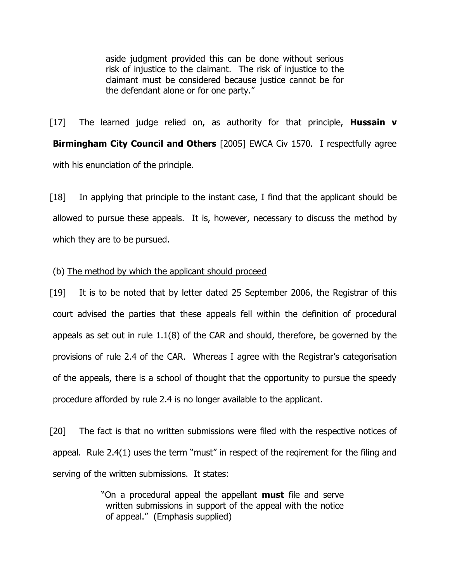aside judgment provided this can be done without serious risk of injustice to the claimant. The risk of injustice to the claimant must be considered because justice cannot be for the defendant alone or for one party."

[17] The learned judge relied on, as authority for that principle, **Hussain v Birmingham City Council and Others** [2005] EWCA Civ 1570. I respectfully agree with his enunciation of the principle.

[18] In applying that principle to the instant case, I find that the applicant should be allowed to pursue these appeals. It is, however, necessary to discuss the method by which they are to be pursued.

(b) The method by which the applicant should proceed

[19] It is to be noted that by letter dated 25 September 2006, the Registrar of this court advised the parties that these appeals fell within the definition of procedural appeals as set out in rule 1.1(8) of the CAR and should, therefore, be governed by the provisions of rule 2.4 of the CAR. Whereas I agree with the Registrar's categorisation of the appeals, there is a school of thought that the opportunity to pursue the speedy procedure afforded by rule 2.4 is no longer available to the applicant.

[20] The fact is that no written submissions were filed with the respective notices of appeal. Rule 2.4(1) uses the term "must" in respect of the reqirement for the filing and serving of the written submissions. It states:

> "On a procedural appeal the appellant **must** file and serve written submissions in support of the appeal with the notice of appeal." (Emphasis supplied)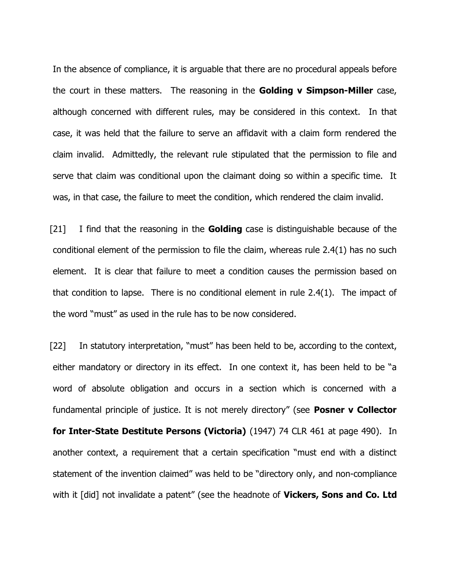In the absence of compliance, it is arguable that there are no procedural appeals before the court in these matters. The reasoning in the **Golding v Simpson-Miller** case, although concerned with different rules, may be considered in this context. In that case, it was held that the failure to serve an affidavit with a claim form rendered the claim invalid. Admittedly, the relevant rule stipulated that the permission to file and serve that claim was conditional upon the claimant doing so within a specific time. It was, in that case, the failure to meet the condition, which rendered the claim invalid.

[21] I find that the reasoning in the **Golding** case is distinguishable because of the conditional element of the permission to file the claim, whereas rule 2.4(1) has no such element. It is clear that failure to meet a condition causes the permission based on that condition to lapse. There is no conditional element in rule 2.4(1). The impact of the word "must" as used in the rule has to be now considered.

[22] In statutory interpretation, "must" has been held to be, according to the context, either mandatory or directory in its effect. In one context it, has been held to be "a word of absolute obligation and occurs in a section which is concerned with a fundamental principle of justice. It is not merely directory" (see **Posner v Collector for Inter-State Destitute Persons (Victoria)** (1947) 74 CLR 461 at page 490). In another context, a requirement that a certain specification "must end with a distinct statement of the invention claimed" was held to be "directory only, and non-compliance with it [did] not invalidate a patent" (see the headnote of **Vickers, Sons and Co. Ltd**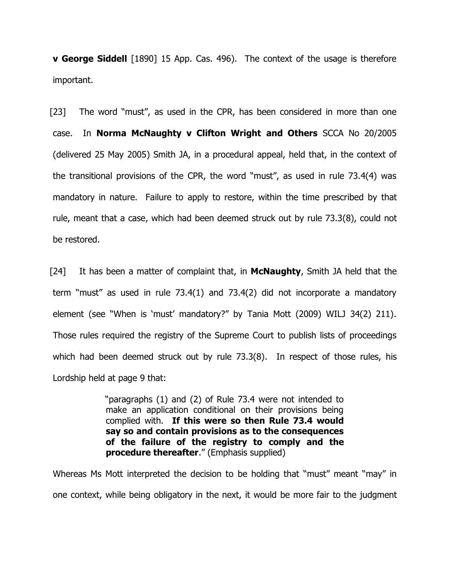**v George Siddell** [1890] 15 App. Cas. 496). The context of the usage is therefore important.

[23] The word "must", as used in the CPR, has been considered in more than one case. In **Norma McNaughty v Clifton Wright and Others** SCCA No 20/2005 (delivered 25 May 2005) Smith JA, in a procedural appeal, held that, in the context of the transitional provisions of the CPR, the word "must", as used in rule 73.4(4) was mandatory in nature. Failure to apply to restore, within the time prescribed by that rule, meant that a case, which had been deemed struck out by rule 73.3(8), could not be restored.

[24] It has been a matter of complaint that, in **McNaughty**, Smith JA held that the term "must" as used in rule 73.4(1) and 73.4(2) did not incorporate a mandatory element (see "When is 'must' mandatory?" by Tania Mott (2009) WILJ 34(2) 211). Those rules required the registry of the Supreme Court to publish lists of proceedings which had been deemed struck out by rule 73.3(8). In respect of those rules, his Lordship held at page 9 that:

> "paragraphs (1) and (2) of Rule 73.4 were not intended to make an application conditional on their provisions being complied with. **If this were so then Rule 73.4 would say so and contain provisions as to the consequences of the failure of the registry to comply and the procedure thereafter.**" (Emphasis supplied)

Whereas Ms Mott interpreted the decision to be holding that "must" meant "may" in one context, while being obligatory in the next, it would be more fair to the judgment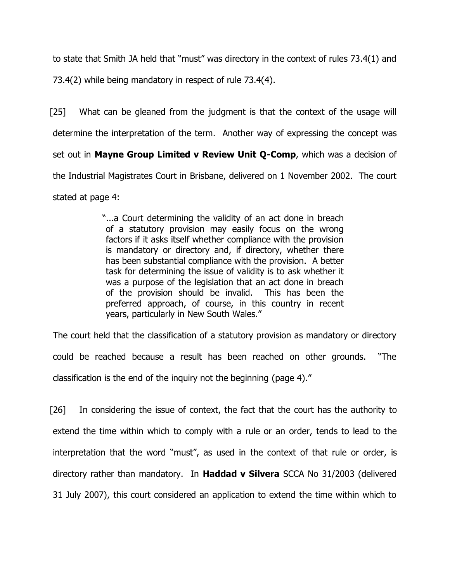to state that Smith JA held that "must" was directory in the context of rules 73.4(1) and 73.4(2) while being mandatory in respect of rule 73.4(4).

[25] What can be gleaned from the judgment is that the context of the usage will determine the interpretation of the term. Another way of expressing the concept was set out in **Mayne Group Limited v Review Unit Q-Comp**, which was a decision of the Industrial Magistrates Court in Brisbane, delivered on 1 November 2002. The court stated at page 4:

> "...a Court determining the validity of an act done in breach of a statutory provision may easily focus on the wrong factors if it asks itself whether compliance with the provision is mandatory or directory and, if directory, whether there has been substantial compliance with the provision. A better task for determining the issue of validity is to ask whether it was a purpose of the legislation that an act done in breach of the provision should be invalid. This has been the preferred approach, of course, in this country in recent years, particularly in New South Wales."

The court held that the classification of a statutory provision as mandatory or directory could be reached because a result has been reached on other grounds. "The classification is the end of the inquiry not the beginning (page 4)."

[26] In considering the issue of context, the fact that the court has the authority to extend the time within which to comply with a rule or an order, tends to lead to the interpretation that the word "must", as used in the context of that rule or order, is directory rather than mandatory. In **Haddad v Silvera** SCCA No 31/2003 (delivered 31 July 2007), this court considered an application to extend the time within which to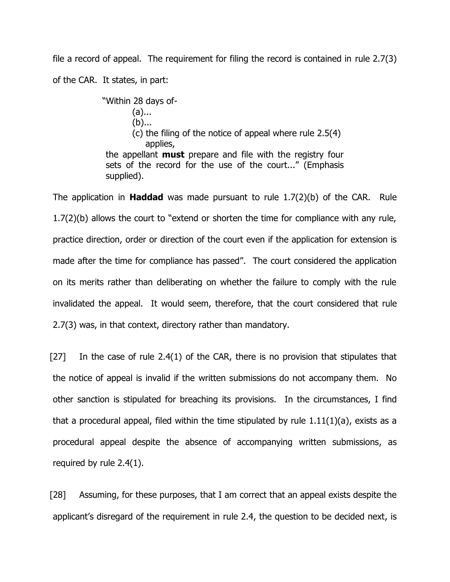file a record of appeal. The requirement for filing the record is contained in rule 2.7(3) of the CAR. It states, in part:

> "Within 28 days of- (a)...  $(b)$ ... (c) the filing of the notice of appeal where rule 2.5(4) applies, the appellant **must** prepare and file with the registry four sets of the record for the use of the court..." (Emphasis supplied).

The application in **Haddad** was made pursuant to rule 1.7(2)(b) of the CAR. Rule 1.7(2)(b) allows the court to "extend or shorten the time for compliance with any rule, practice direction, order or direction of the court even if the application for extension is made after the time for compliance has passed". The court considered the application on its merits rather than deliberating on whether the failure to comply with the rule invalidated the appeal. It would seem, therefore, that the court considered that rule 2.7(3) was, in that context, directory rather than mandatory.

 $[27]$  In the case of rule 2.4(1) of the CAR, there is no provision that stipulates that the notice of appeal is invalid if the written submissions do not accompany them. No other sanction is stipulated for breaching its provisions. In the circumstances, I find that a procedural appeal, filed within the time stipulated by rule  $1.11(1)(a)$ , exists as a procedural appeal despite the absence of accompanying written submissions, as required by rule 2.4(1).

[28] Assuming, for these purposes, that I am correct that an appeal exists despite the applicant's disregard of the requirement in rule 2.4, the question to be decided next, is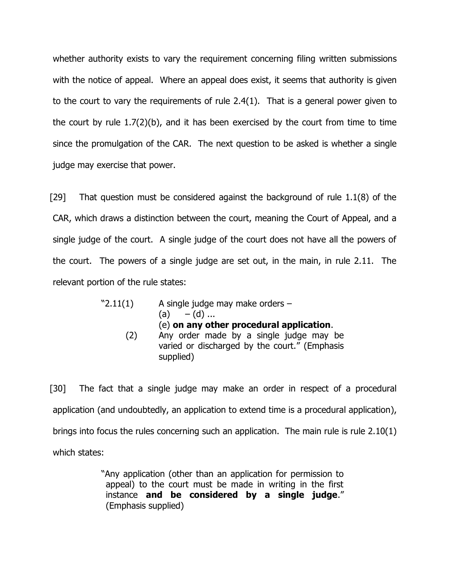whether authority exists to vary the requirement concerning filing written submissions with the notice of appeal. Where an appeal does exist, it seems that authority is given to the court to vary the requirements of rule 2.4(1). That is a general power given to the court by rule 1.7(2)(b), and it has been exercised by the court from time to time since the promulgation of the CAR. The next question to be asked is whether a single judge may exercise that power.

[29] That question must be considered against the background of rule 1.1(8) of the CAR, which draws a distinction between the court, meaning the Court of Appeal, and a single judge of the court. A single judge of the court does not have all the powers of the court. The powers of a single judge are set out, in the main, in rule 2.11. The relevant portion of the rule states:

| "2.11(1) | A single judge may make orders -<br>(a) $-(d)$                                                                                                    |
|----------|---------------------------------------------------------------------------------------------------------------------------------------------------|
| (2)      | (e) on any other procedural application.<br>Any order made by a single judge may be<br>varied or discharged by the court." (Emphasis<br>supplied) |

[30] The fact that a single judge may make an order in respect of a procedural application (and undoubtedly, an application to extend time is a procedural application), brings into focus the rules concerning such an application. The main rule is rule 2.10(1) which states:

> "Any application (other than an application for permission to appeal) to the court must be made in writing in the first instance **and be considered by a single judge**." (Emphasis supplied)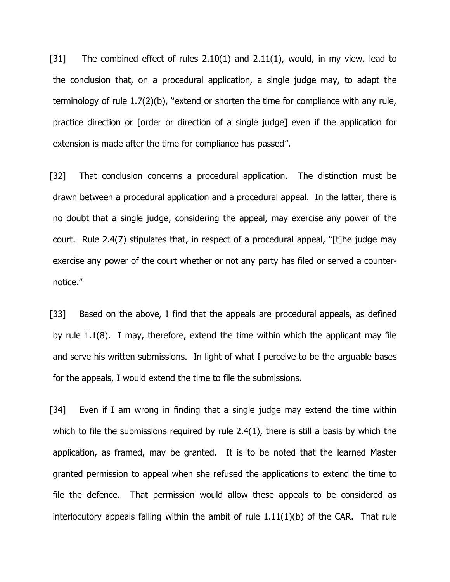[31] The combined effect of rules  $2.10(1)$  and  $2.11(1)$ , would, in my view, lead to the conclusion that, on a procedural application, a single judge may, to adapt the terminology of rule 1.7(2)(b), "extend or shorten the time for compliance with any rule, practice direction or [order or direction of a single judge] even if the application for extension is made after the time for compliance has passed".

[32] That conclusion concerns a procedural application. The distinction must be drawn between a procedural application and a procedural appeal. In the latter, there is no doubt that a single judge, considering the appeal, may exercise any power of the court. Rule 2.4(7) stipulates that, in respect of a procedural appeal, "[t]he judge may exercise any power of the court whether or not any party has filed or served a counternotice."

[33] Based on the above, I find that the appeals are procedural appeals, as defined by rule 1.1(8). I may, therefore, extend the time within which the applicant may file and serve his written submissions. In light of what I perceive to be the arguable bases for the appeals, I would extend the time to file the submissions.

[34] Even if I am wrong in finding that a single judge may extend the time within which to file the submissions required by rule 2.4(1), there is still a basis by which the application, as framed, may be granted. It is to be noted that the learned Master granted permission to appeal when she refused the applications to extend the time to file the defence. That permission would allow these appeals to be considered as interlocutory appeals falling within the ambit of rule  $1.11(1)(b)$  of the CAR. That rule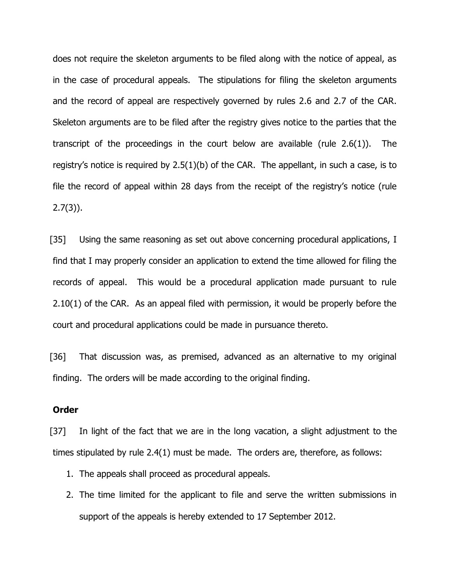does not require the skeleton arguments to be filed along with the notice of appeal, as in the case of procedural appeals. The stipulations for filing the skeleton arguments and the record of appeal are respectively governed by rules 2.6 and 2.7 of the CAR. Skeleton arguments are to be filed after the registry gives notice to the parties that the transcript of the proceedings in the court below are available (rule 2.6(1)). The registry's notice is required by 2.5(1)(b) of the CAR. The appellant, in such a case, is to file the record of appeal within 28 days from the receipt of the registry's notice (rule  $2.7(3)$ ).

[35] Using the same reasoning as set out above concerning procedural applications, I find that I may properly consider an application to extend the time allowed for filing the records of appeal. This would be a procedural application made pursuant to rule 2.10(1) of the CAR. As an appeal filed with permission, it would be properly before the court and procedural applications could be made in pursuance thereto.

[36] That discussion was, as premised, advanced as an alternative to my original finding. The orders will be made according to the original finding.

### **Order**

[37] In light of the fact that we are in the long vacation, a slight adjustment to the times stipulated by rule 2.4(1) must be made. The orders are, therefore, as follows:

- 1. The appeals shall proceed as procedural appeals.
- 2. The time limited for the applicant to file and serve the written submissions in support of the appeals is hereby extended to 17 September 2012.